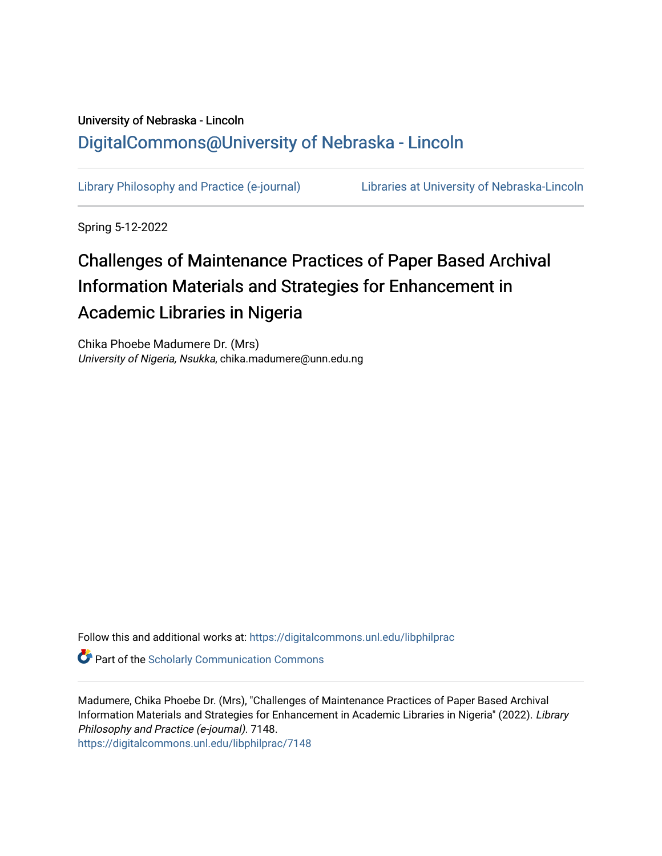## University of Nebraska - Lincoln [DigitalCommons@University of Nebraska - Lincoln](https://digitalcommons.unl.edu/)

[Library Philosophy and Practice \(e-journal\)](https://digitalcommons.unl.edu/libphilprac) [Libraries at University of Nebraska-Lincoln](https://digitalcommons.unl.edu/libraries) 

Spring 5-12-2022

# Challenges of Maintenance Practices of Paper Based Archival Information Materials and Strategies for Enhancement in Academic Libraries in Nigeria

Chika Phoebe Madumere Dr. (Mrs) University of Nigeria, Nsukka, chika.madumere@unn.edu.ng

Follow this and additional works at: [https://digitalcommons.unl.edu/libphilprac](https://digitalcommons.unl.edu/libphilprac?utm_source=digitalcommons.unl.edu%2Flibphilprac%2F7148&utm_medium=PDF&utm_campaign=PDFCoverPages) 

**Part of the Scholarly Communication Commons** 

Madumere, Chika Phoebe Dr. (Mrs), "Challenges of Maintenance Practices of Paper Based Archival Information Materials and Strategies for Enhancement in Academic Libraries in Nigeria" (2022). Library Philosophy and Practice (e-journal). 7148. [https://digitalcommons.unl.edu/libphilprac/7148](https://digitalcommons.unl.edu/libphilprac/7148?utm_source=digitalcommons.unl.edu%2Flibphilprac%2F7148&utm_medium=PDF&utm_campaign=PDFCoverPages)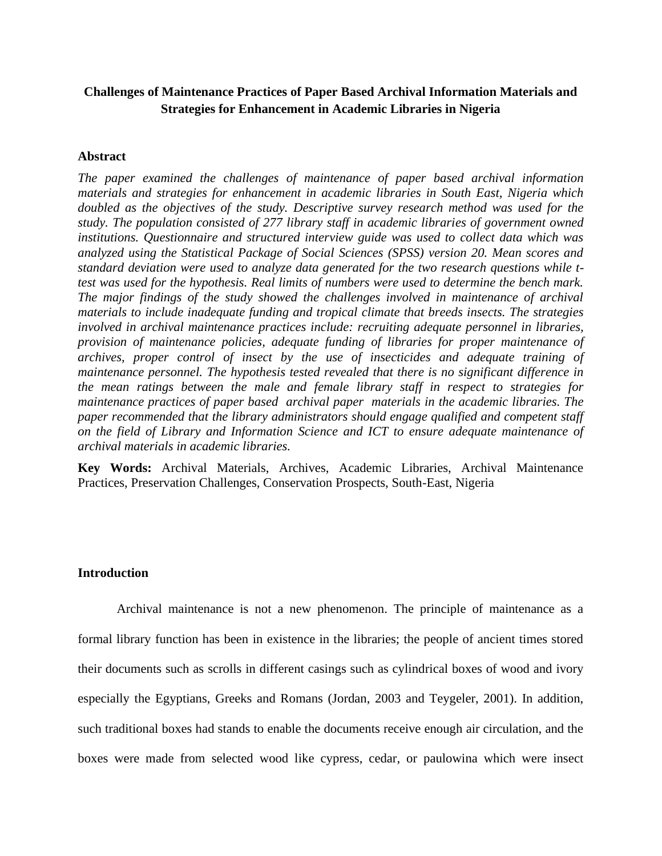## **Challenges of Maintenance Practices of Paper Based Archival Information Materials and Strategies for Enhancement in Academic Libraries in Nigeria**

#### **Abstract**

*The paper examined the challenges of maintenance of paper based archival information materials and strategies for enhancement in academic libraries in South East, Nigeria which doubled as the objectives of the study. Descriptive survey research method was used for the study. The population consisted of 277 library staff in academic libraries of government owned institutions. Questionnaire and structured interview guide was used to collect data which was analyzed using the Statistical Package of Social Sciences (SPSS) version 20. Mean scores and standard deviation were used to analyze data generated for the two research questions while ttest was used for the hypothesis. Real limits of numbers were used to determine the bench mark. The major findings of the study showed the challenges involved in maintenance of archival materials to include inadequate funding and tropical climate that breeds insects. The strategies involved in archival maintenance practices include: recruiting adequate personnel in libraries, provision of maintenance policies, adequate funding of libraries for proper maintenance of archives, proper control of insect by the use of insecticides and adequate training of maintenance personnel. The hypothesis tested revealed that there is no significant difference in the mean ratings between the male and female library staff in respect to strategies for maintenance practices of paper based archival paper materials in the academic libraries. The paper recommended that the library administrators should engage qualified and competent staff on the field of Library and Information Science and ICT to ensure adequate maintenance of archival materials in academic libraries.*

**Key Words:** Archival Materials, Archives, Academic Libraries, Archival Maintenance Practices, Preservation Challenges, Conservation Prospects, South-East, Nigeria

#### **Introduction**

Archival maintenance is not a new phenomenon. The principle of maintenance as a formal library function has been in existence in the libraries; the people of ancient times stored their documents such as scrolls in different casings such as cylindrical boxes of wood and ivory especially the Egyptians, Greeks and Romans (Jordan, 2003 and Teygeler, 2001). In addition, such traditional boxes had stands to enable the documents receive enough air circulation, and the boxes were made from selected wood like cypress, cedar, or paulowina which were insect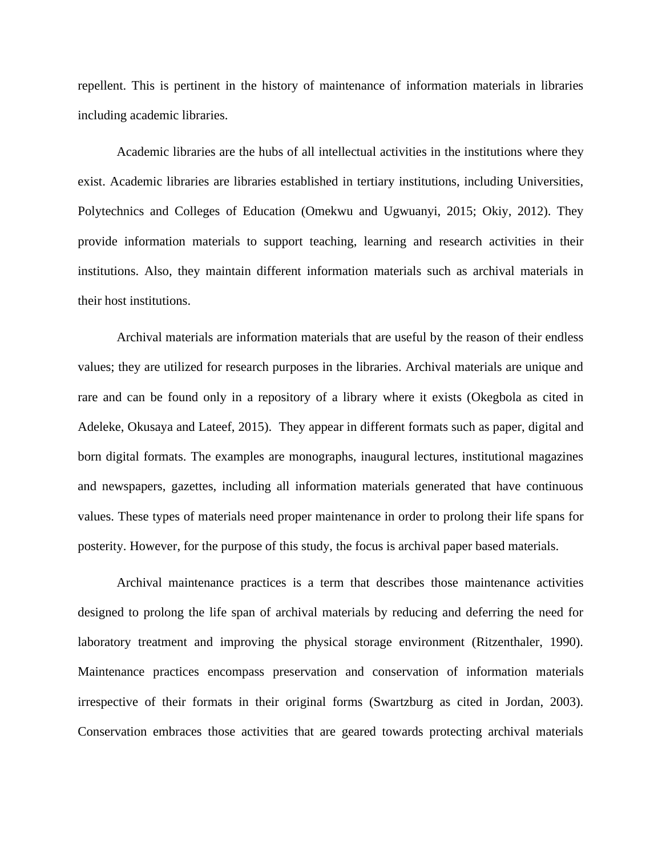repellent. This is pertinent in the history of maintenance of information materials in libraries including academic libraries.

Academic libraries are the hubs of all intellectual activities in the institutions where they exist. Academic libraries are libraries established in tertiary institutions, including Universities, Polytechnics and Colleges of Education (Omekwu and Ugwuanyi, 2015; Okiy, 2012). They provide information materials to support teaching, learning and research activities in their institutions. Also, they maintain different information materials such as archival materials in their host institutions.

Archival materials are information materials that are useful by the reason of their endless values; they are utilized for research purposes in the libraries. Archival materials are unique and rare and can be found only in a repository of a library where it exists (Okegbola as cited in Adeleke, Okusaya and Lateef, 2015). They appear in different formats such as paper, digital and born digital formats. The examples are monographs, inaugural lectures, institutional magazines and newspapers, gazettes, including all information materials generated that have continuous values. These types of materials need proper maintenance in order to prolong their life spans for posterity. However, for the purpose of this study, the focus is archival paper based materials.

Archival maintenance practices is a term that describes those maintenance activities designed to prolong the life span of archival materials by reducing and deferring the need for laboratory treatment and improving the physical storage environment (Ritzenthaler, 1990). Maintenance practices encompass preservation and conservation of information materials irrespective of their formats in their original forms (Swartzburg as cited in Jordan, 2003). Conservation embraces those activities that are geared towards protecting archival materials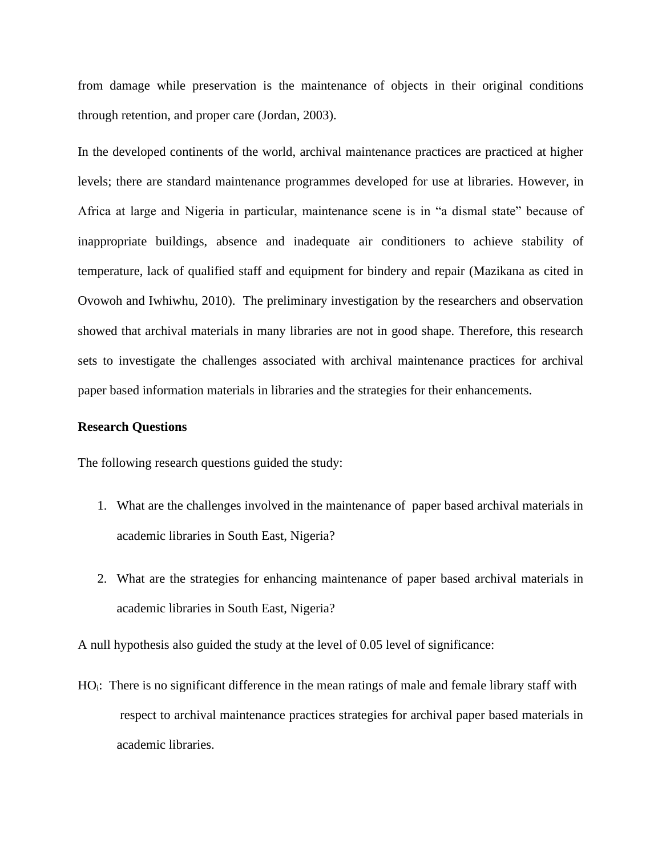from damage while preservation is the maintenance of objects in their original conditions through retention, and proper care (Jordan, 2003).

In the developed continents of the world, archival maintenance practices are practiced at higher levels; there are standard maintenance programmes developed for use at libraries. However, in Africa at large and Nigeria in particular, maintenance scene is in "a dismal state" because of inappropriate buildings, absence and inadequate air conditioners to achieve stability of temperature, lack of qualified staff and equipment for bindery and repair (Mazikana as cited in Ovowoh and Iwhiwhu, 2010). The preliminary investigation by the researchers and observation showed that archival materials in many libraries are not in good shape. Therefore, this research sets to investigate the challenges associated with archival maintenance practices for archival paper based information materials in libraries and the strategies for their enhancements.

#### **Research Questions**

The following research questions guided the study:

- 1. What are the challenges involved in the maintenance of paper based archival materials in academic libraries in South East, Nigeria?
- 2. What are the strategies for enhancing maintenance of paper based archival materials in academic libraries in South East, Nigeria?

A null hypothesis also guided the study at the level of 0.05 level of significance:

HO<sub>i</sub>: There is no significant difference in the mean ratings of male and female library staff with respect to archival maintenance practices strategies for archival paper based materials in academic libraries.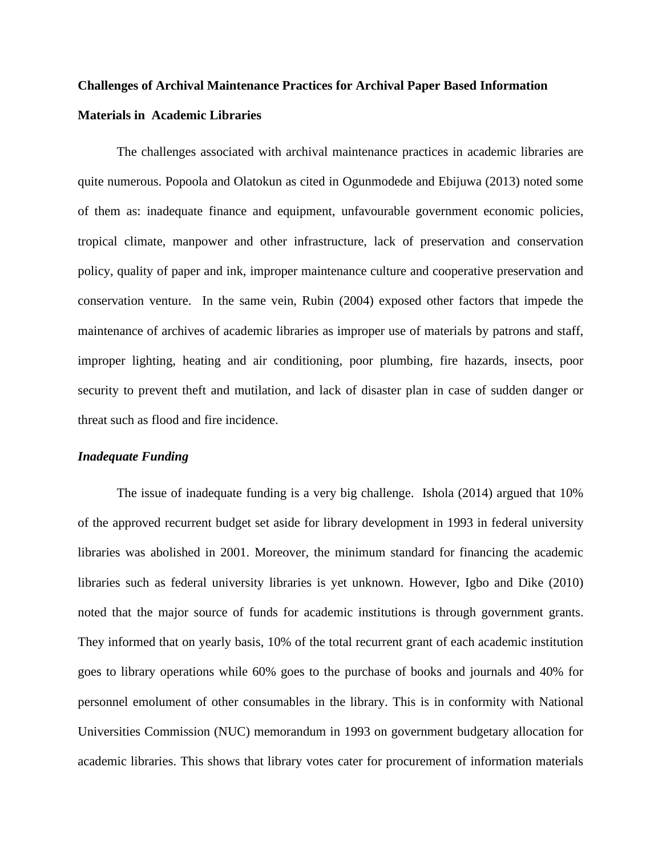## **Challenges of Archival Maintenance Practices for Archival Paper Based Information Materials in Academic Libraries**

The challenges associated with archival maintenance practices in academic libraries are quite numerous. Popoola and Olatokun as cited in Ogunmodede and Ebijuwa (2013) noted some of them as: inadequate finance and equipment, unfavourable government economic policies, tropical climate, manpower and other infrastructure, lack of preservation and conservation policy, quality of paper and ink, improper maintenance culture and cooperative preservation and conservation venture. In the same vein, Rubin (2004) exposed other factors that impede the maintenance of archives of academic libraries as improper use of materials by patrons and staff, improper lighting, heating and air conditioning, poor plumbing, fire hazards, insects, poor security to prevent theft and mutilation, and lack of disaster plan in case of sudden danger or threat such as flood and fire incidence.

#### *Inadequate Funding*

The issue of inadequate funding is a very big challenge. Ishola (2014) argued that 10% of the approved recurrent budget set aside for library development in 1993 in federal university libraries was abolished in 2001. Moreover, the minimum standard for financing the academic libraries such as federal university libraries is yet unknown. However, Igbo and Dike (2010) noted that the major source of funds for academic institutions is through government grants. They informed that on yearly basis, 10% of the total recurrent grant of each academic institution goes to library operations while 60% goes to the purchase of books and journals and 40% for personnel emolument of other consumables in the library. This is in conformity with National Universities Commission (NUC) memorandum in 1993 on government budgetary allocation for academic libraries. This shows that library votes cater for procurement of information materials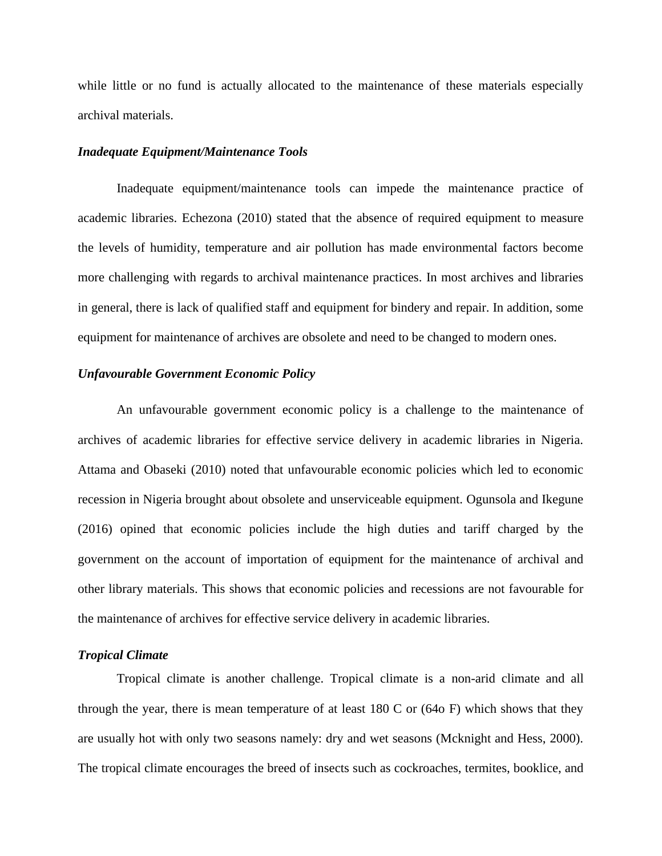while little or no fund is actually allocated to the maintenance of these materials especially archival materials.

#### *Inadequate Equipment/Maintenance Tools*

Inadequate equipment/maintenance tools can impede the maintenance practice of academic libraries. Echezona (2010) stated that the absence of required equipment to measure the levels of humidity, temperature and air pollution has made environmental factors become more challenging with regards to archival maintenance practices. In most archives and libraries in general, there is lack of qualified staff and equipment for bindery and repair. In addition, some equipment for maintenance of archives are obsolete and need to be changed to modern ones.

#### *Unfavourable Government Economic Policy*

An unfavourable government economic policy is a challenge to the maintenance of archives of academic libraries for effective service delivery in academic libraries in Nigeria. Attama and Obaseki (2010) noted that unfavourable economic policies which led to economic recession in Nigeria brought about obsolete and unserviceable equipment. Ogunsola and Ikegune (2016) opined that economic policies include the high duties and tariff charged by the government on the account of importation of equipment for the maintenance of archival and other library materials. This shows that economic policies and recessions are not favourable for the maintenance of archives for effective service delivery in academic libraries.

#### *Tropical Climate*

Tropical climate is another challenge. Tropical climate is a non-arid climate and all through the year, there is mean temperature of at least 180 C or (64o F) which shows that they are usually hot with only two seasons namely: dry and wet seasons (Mcknight and Hess, 2000). The tropical climate encourages the breed of insects such as cockroaches, termites, booklice, and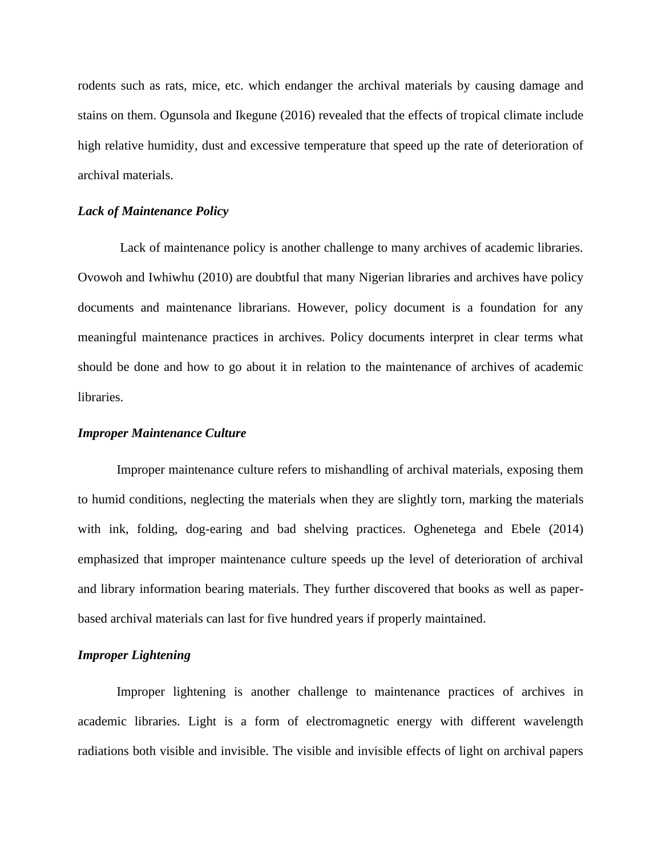rodents such as rats, mice, etc. which endanger the archival materials by causing damage and stains on them. Ogunsola and Ikegune (2016) revealed that the effects of tropical climate include high relative humidity, dust and excessive temperature that speed up the rate of deterioration of archival materials.

#### *Lack of Maintenance Policy*

Lack of maintenance policy is another challenge to many archives of academic libraries. Ovowoh and Iwhiwhu (2010) are doubtful that many Nigerian libraries and archives have policy documents and maintenance librarians. However, policy document is a foundation for any meaningful maintenance practices in archives. Policy documents interpret in clear terms what should be done and how to go about it in relation to the maintenance of archives of academic libraries.

#### *Improper Maintenance Culture*

Improper maintenance culture refers to mishandling of archival materials, exposing them to humid conditions, neglecting the materials when they are slightly torn, marking the materials with ink, folding, dog-earing and bad shelving practices. Oghenetega and Ebele (2014) emphasized that improper maintenance culture speeds up the level of deterioration of archival and library information bearing materials. They further discovered that books as well as paperbased archival materials can last for five hundred years if properly maintained.

### *Improper Lightening*

Improper lightening is another challenge to maintenance practices of archives in academic libraries. Light is a form of electromagnetic energy with different wavelength radiations both visible and invisible. The visible and invisible effects of light on archival papers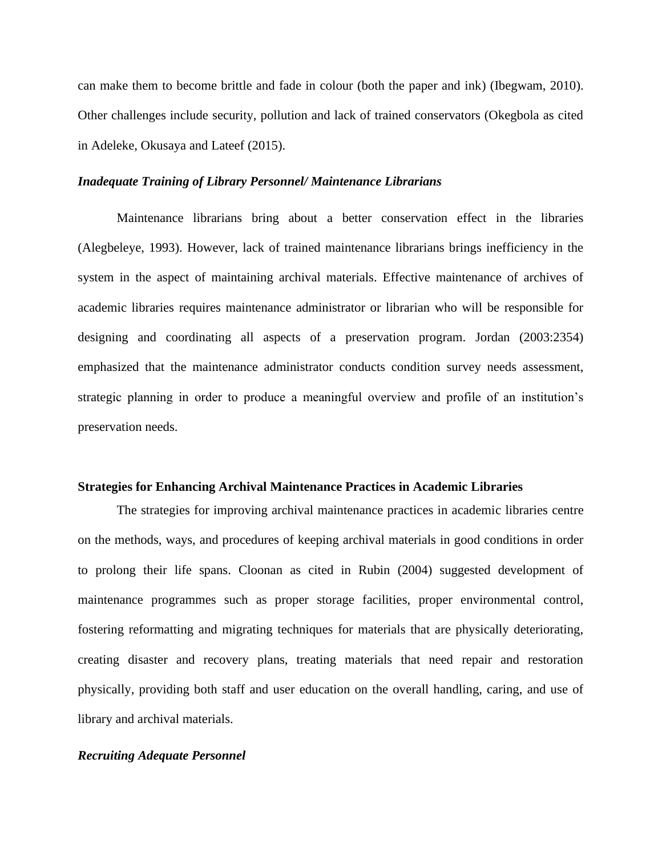can make them to become brittle and fade in colour (both the paper and ink) (Ibegwam, 2010). Other challenges include security, pollution and lack of trained conservators (Okegbola as cited in Adeleke, Okusaya and Lateef (2015).

#### *Inadequate Training of Library Personnel/ Maintenance Librarians*

Maintenance librarians bring about a better conservation effect in the libraries (Alegbeleye, 1993). However, lack of trained maintenance librarians brings inefficiency in the system in the aspect of maintaining archival materials. Effective maintenance of archives of academic libraries requires maintenance administrator or librarian who will be responsible for designing and coordinating all aspects of a preservation program. Jordan (2003:2354) emphasized that the maintenance administrator conducts condition survey needs assessment, strategic planning in order to produce a meaningful overview and profile of an institution's preservation needs.

#### **Strategies for Enhancing Archival Maintenance Practices in Academic Libraries**

The strategies for improving archival maintenance practices in academic libraries centre on the methods, ways, and procedures of keeping archival materials in good conditions in order to prolong their life spans. Cloonan as cited in Rubin (2004) suggested development of maintenance programmes such as proper storage facilities, proper environmental control, fostering reformatting and migrating techniques for materials that are physically deteriorating, creating disaster and recovery plans, treating materials that need repair and restoration physically, providing both staff and user education on the overall handling, caring, and use of library and archival materials.

#### *Recruiting Adequate Personnel*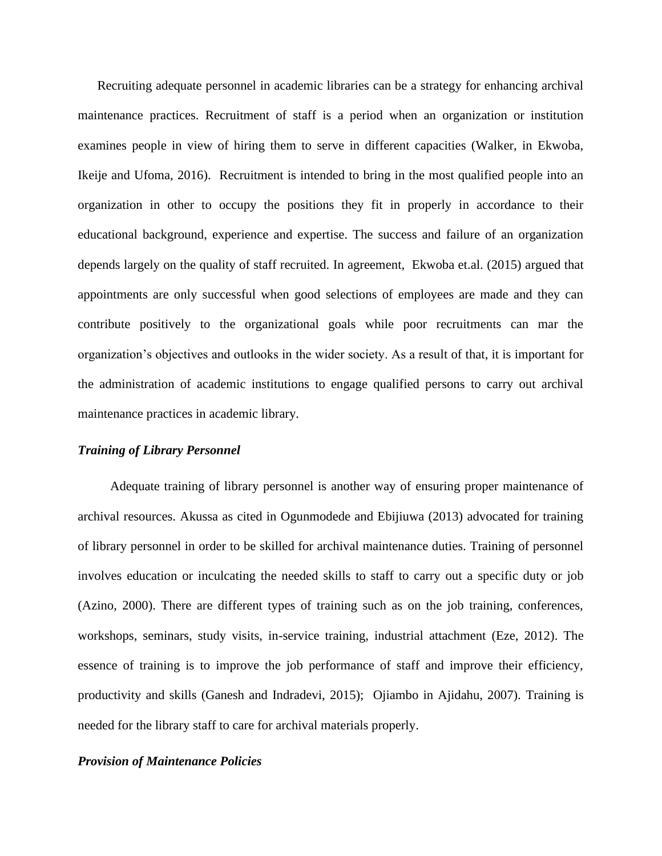Recruiting adequate personnel in academic libraries can be a strategy for enhancing archival maintenance practices. Recruitment of staff is a period when an organization or institution examines people in view of hiring them to serve in different capacities (Walker, in Ekwoba, Ikeije and Ufoma, 2016). Recruitment is intended to bring in the most qualified people into an organization in other to occupy the positions they fit in properly in accordance to their educational background, experience and expertise. The success and failure of an organization depends largely on the quality of staff recruited. In agreement, Ekwoba et.al. (2015) argued that appointments are only successful when good selections of employees are made and they can contribute positively to the organizational goals while poor recruitments can mar the organization's objectives and outlooks in the wider society. As a result of that, it is important for the administration of academic institutions to engage qualified persons to carry out archival maintenance practices in academic library.

#### *Training of Library Personnel*

 Adequate training of library personnel is another way of ensuring proper maintenance of archival resources. Akussa as cited in Ogunmodede and Ebijiuwa (2013) advocated for training of library personnel in order to be skilled for archival maintenance duties. Training of personnel involves education or inculcating the needed skills to staff to carry out a specific duty or job (Azino, 2000). There are different types of training such as on the job training, conferences, workshops, seminars, study visits, in-service training, industrial attachment (Eze, 2012). The essence of training is to improve the job performance of staff and improve their efficiency, productivity and skills (Ganesh and Indradevi, 2015); Ojiambo in Ajidahu, 2007). Training is needed for the library staff to care for archival materials properly.

#### *Provision of Maintenance Policies*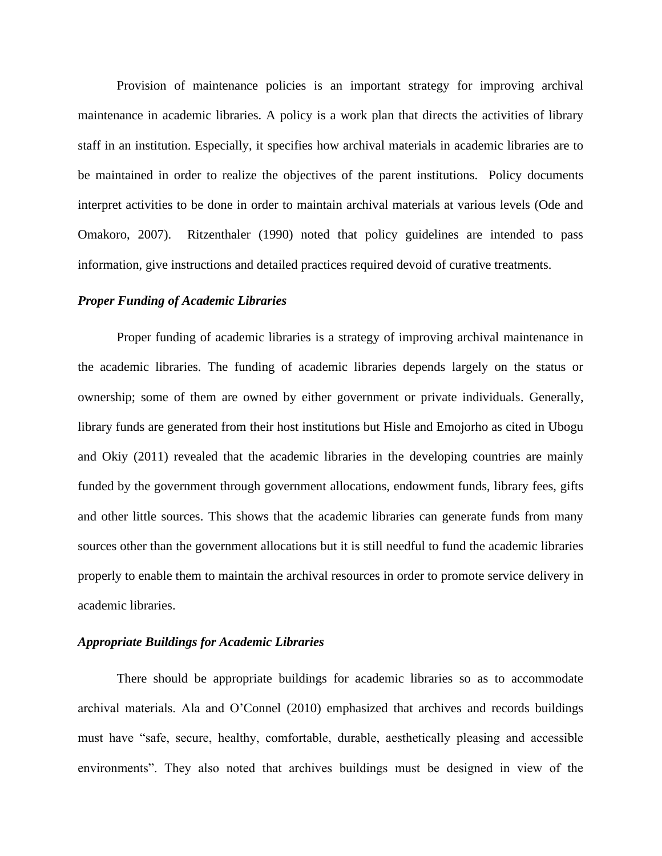Provision of maintenance policies is an important strategy for improving archival maintenance in academic libraries. A policy is a work plan that directs the activities of library staff in an institution. Especially, it specifies how archival materials in academic libraries are to be maintained in order to realize the objectives of the parent institutions. Policy documents interpret activities to be done in order to maintain archival materials at various levels (Ode and Omakoro, 2007). Ritzenthaler (1990) noted that policy guidelines are intended to pass information, give instructions and detailed practices required devoid of curative treatments.

#### *Proper Funding of Academic Libraries*

Proper funding of academic libraries is a strategy of improving archival maintenance in the academic libraries. The funding of academic libraries depends largely on the status or ownership; some of them are owned by either government or private individuals. Generally, library funds are generated from their host institutions but Hisle and Emojorho as cited in Ubogu and Okiy (2011) revealed that the academic libraries in the developing countries are mainly funded by the government through government allocations, endowment funds, library fees, gifts and other little sources. This shows that the academic libraries can generate funds from many sources other than the government allocations but it is still needful to fund the academic libraries properly to enable them to maintain the archival resources in order to promote service delivery in academic libraries.

#### *Appropriate Buildings for Academic Libraries*

There should be appropriate buildings for academic libraries so as to accommodate archival materials. Ala and O'Connel (2010) emphasized that archives and records buildings must have "safe, secure, healthy, comfortable, durable, aesthetically pleasing and accessible environments". They also noted that archives buildings must be designed in view of the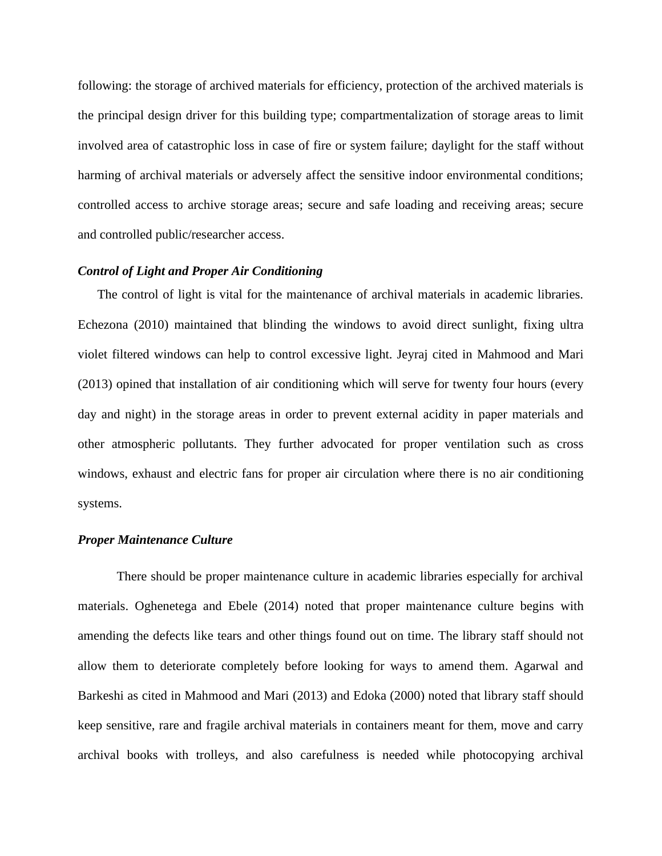following: the storage of archived materials for efficiency, protection of the archived materials is the principal design driver for this building type; compartmentalization of storage areas to limit involved area of catastrophic loss in case of fire or system failure; daylight for the staff without harming of archival materials or adversely affect the sensitive indoor environmental conditions; controlled access to archive storage areas; secure and safe loading and receiving areas; secure and controlled public/researcher access.

#### *Control of Light and Proper Air Conditioning*

The control of light is vital for the maintenance of archival materials in academic libraries. Echezona (2010) maintained that blinding the windows to avoid direct sunlight, fixing ultra violet filtered windows can help to control excessive light. Jeyraj cited in Mahmood and Mari (2013) opined that installation of air conditioning which will serve for twenty four hours (every day and night) in the storage areas in order to prevent external acidity in paper materials and other atmospheric pollutants. They further advocated for proper ventilation such as cross windows, exhaust and electric fans for proper air circulation where there is no air conditioning systems.

#### *Proper Maintenance Culture*

There should be proper maintenance culture in academic libraries especially for archival materials. Oghenetega and Ebele (2014) noted that proper maintenance culture begins with amending the defects like tears and other things found out on time. The library staff should not allow them to deteriorate completely before looking for ways to amend them. Agarwal and Barkeshi as cited in Mahmood and Mari (2013) and Edoka (2000) noted that library staff should keep sensitive, rare and fragile archival materials in containers meant for them, move and carry archival books with trolleys, and also carefulness is needed while photocopying archival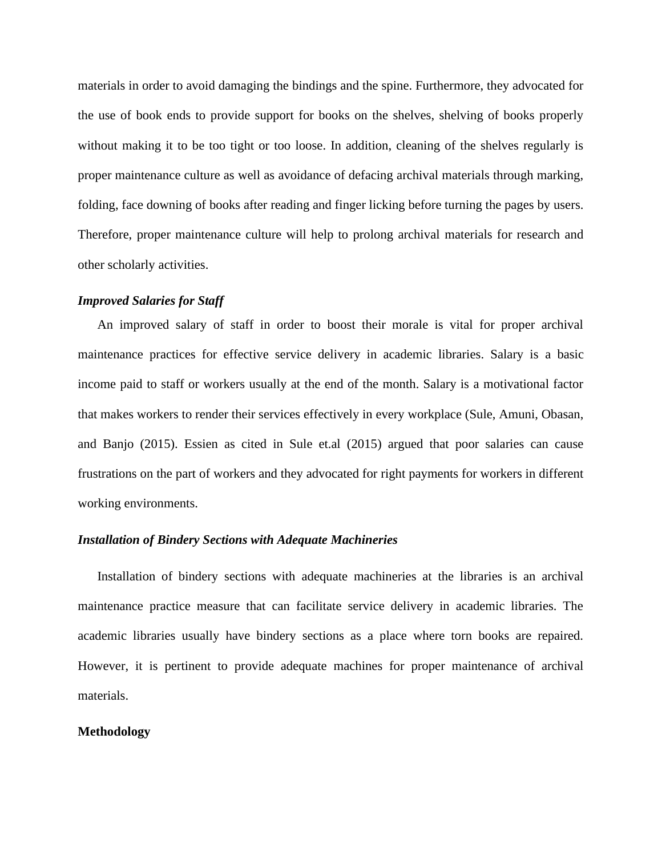materials in order to avoid damaging the bindings and the spine. Furthermore, they advocated for the use of book ends to provide support for books on the shelves, shelving of books properly without making it to be too tight or too loose. In addition, cleaning of the shelves regularly is proper maintenance culture as well as avoidance of defacing archival materials through marking, folding, face downing of books after reading and finger licking before turning the pages by users. Therefore, proper maintenance culture will help to prolong archival materials for research and other scholarly activities.

#### *Improved Salaries for Staff*

An improved salary of staff in order to boost their morale is vital for proper archival maintenance practices for effective service delivery in academic libraries. Salary is a basic income paid to staff or workers usually at the end of the month. Salary is a motivational factor that makes workers to render their services effectively in every workplace (Sule, Amuni, Obasan, and Banjo (2015). Essien as cited in Sule et.al (2015) argued that poor salaries can cause frustrations on the part of workers and they advocated for right payments for workers in different working environments.

#### *Installation of Bindery Sections with Adequate Machineries*

Installation of bindery sections with adequate machineries at the libraries is an archival maintenance practice measure that can facilitate service delivery in academic libraries. The academic libraries usually have bindery sections as a place where torn books are repaired. However, it is pertinent to provide adequate machines for proper maintenance of archival materials.

#### **Methodology**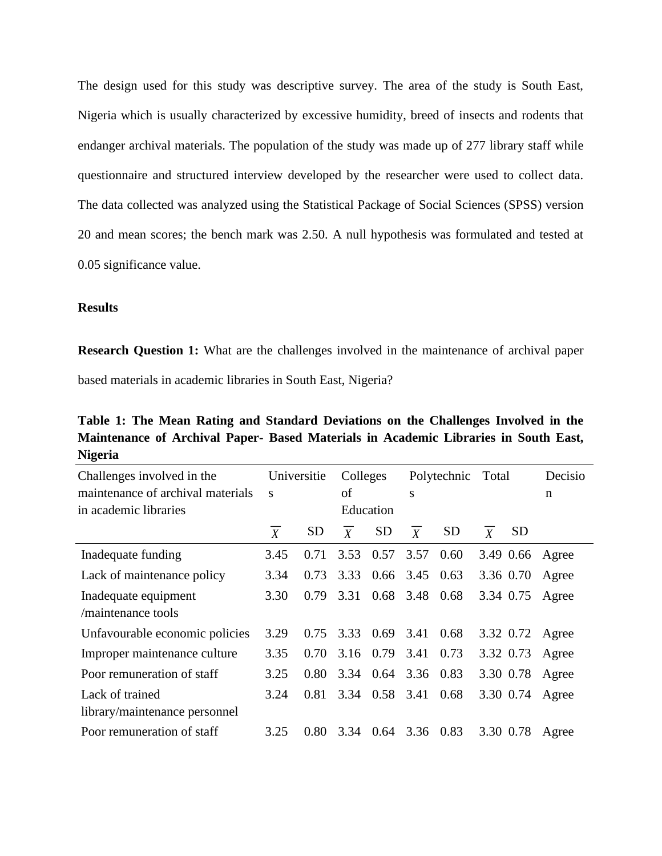The design used for this study was descriptive survey. The area of the study is South East, Nigeria which is usually characterized by excessive humidity, breed of insects and rodents that endanger archival materials. The population of the study was made up of 277 library staff while questionnaire and structured interview developed by the researcher were used to collect data. The data collected was analyzed using the Statistical Package of Social Sciences (SPSS) version 20 and mean scores; the bench mark was 2.50. A null hypothesis was formulated and tested at 0.05 significance value.

#### **Results**

**Research Question 1:** What are the challenges involved in the maintenance of archival paper based materials in academic libraries in South East, Nigeria?

**Table 1: The Mean Rating and Standard Deviations on the Challenges Involved in the Maintenance of Archival Paper- Based Materials in Academic Libraries in South East, Nigeria**

| Challenges involved in the        | Universitie      |           | Colleges         |                | Polytechnic        |           | Total            |           | Decisio         |
|-----------------------------------|------------------|-----------|------------------|----------------|--------------------|-----------|------------------|-----------|-----------------|
| maintenance of archival materials | S                |           | οf               |                | S                  |           |                  |           | n               |
| in academic libraries             | Education        |           |                  |                |                    |           |                  |           |                 |
|                                   | $\boldsymbol{X}$ | <b>SD</b> | $\boldsymbol{X}$ | <b>SD</b>      | $\boldsymbol{X}$   | <b>SD</b> | $\boldsymbol{X}$ | <b>SD</b> |                 |
| Inadequate funding                | 3.45             | 0.71      | 3.53             | 0.57           | 3.57               | 0.60      |                  | 3.49 0.66 | Agree           |
| Lack of maintenance policy        | 3.34             | 0.73      | 3.33             |                | $0.66$ 3.45 $0.63$ |           |                  | 3.36 0.70 | Agree           |
| Inadequate equipment              | 3.30             | 0.79      | 3.31             | 0.68           | 3.48               | 0.68      |                  | 3.34 0.75 | Agree           |
| /maintenance tools                |                  |           |                  |                |                    |           |                  |           |                 |
| Unfavourable economic policies    | 3.29             | 0.75      |                  | 3.33 0.69      | 3.41               | 0.68      |                  |           | 3.32 0.72 Agree |
| Improper maintenance culture      | 3.35             | 0.70      | 3.16             | 0.79 3.41      |                    | 0.73      |                  | 3.32 0.73 | Agree           |
| Poor remuneration of staff        | 3.25             | 0.80      | 3.34             | 0.64           | 3.36 0.83          |           |                  | 3.30 0.78 | Agree           |
| Lack of trained                   | 3.24             | 0.81      |                  | 3.34 0.58 3.41 |                    | 0.68      |                  | 3.30 0.74 | Agree           |
| library/maintenance personnel     |                  |           |                  |                |                    |           |                  |           |                 |
| Poor remuneration of staff        | 3.25             | 0.80      | 3.34             | 0.64           | 3.36 0.83          |           |                  | 3.30 0.78 | Agree           |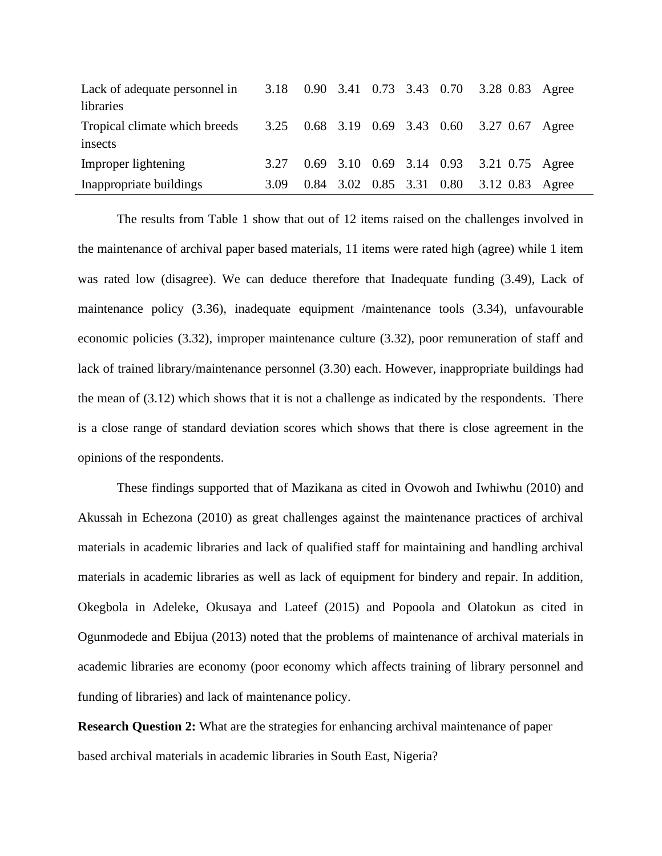| Lack of adequate personnel in |      |  |  | 3.18 0.90 3.41 0.73 3.43 0.70 3.28 0.83 Agree |  |
|-------------------------------|------|--|--|-----------------------------------------------|--|
| libraries                     |      |  |  |                                               |  |
| Tropical climate which breeds |      |  |  | 3.25 0.68 3.19 0.69 3.43 0.60 3.27 0.67 Agree |  |
| insects                       |      |  |  |                                               |  |
| Improper lightening           | 3.27 |  |  | 0.69 3.10 0.69 3.14 0.93 3.21 0.75 Agree      |  |
| Inappropriate buildings       | 3.09 |  |  | 0.84 3.02 0.85 3.31 0.80 3.12 0.83 Agree      |  |

The results from Table 1 show that out of 12 items raised on the challenges involved in the maintenance of archival paper based materials, 11 items were rated high (agree) while 1 item was rated low (disagree). We can deduce therefore that Inadequate funding (3.49), Lack of maintenance policy (3.36), inadequate equipment /maintenance tools (3.34), unfavourable economic policies (3.32), improper maintenance culture (3.32), poor remuneration of staff and lack of trained library/maintenance personnel (3.30) each. However, inappropriate buildings had the mean of (3.12) which shows that it is not a challenge as indicated by the respondents. There is a close range of standard deviation scores which shows that there is close agreement in the opinions of the respondents.

These findings supported that of Mazikana as cited in Ovowoh and Iwhiwhu (2010) and Akussah in Echezona (2010) as great challenges against the maintenance practices of archival materials in academic libraries and lack of qualified staff for maintaining and handling archival materials in academic libraries as well as lack of equipment for bindery and repair. In addition, Okegbola in Adeleke, Okusaya and Lateef (2015) and Popoola and Olatokun as cited in Ogunmodede and Ebijua (2013) noted that the problems of maintenance of archival materials in academic libraries are economy (poor economy which affects training of library personnel and funding of libraries) and lack of maintenance policy.

**Research Question 2:** What are the strategies for enhancing archival maintenance of paper based archival materials in academic libraries in South East, Nigeria?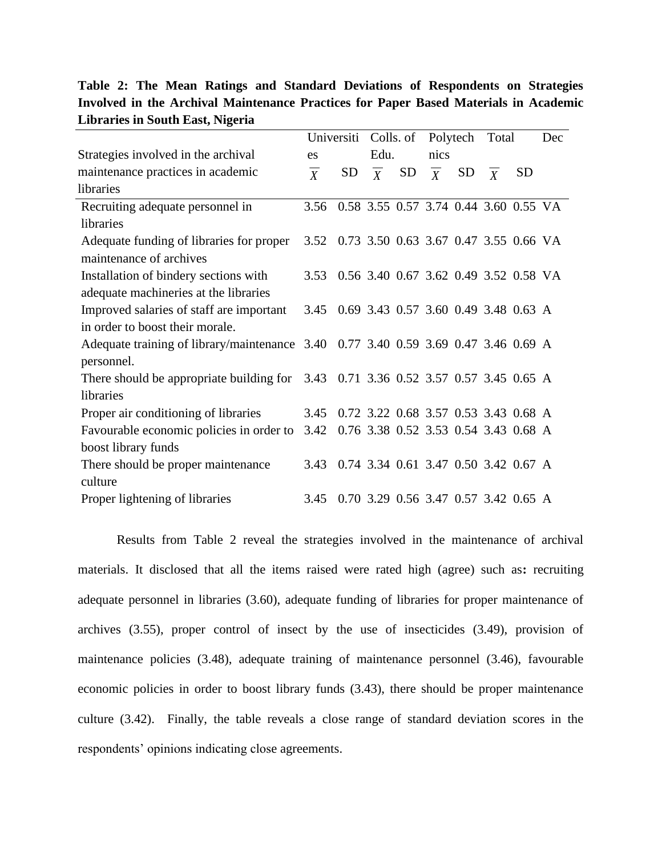|                                                                                    |                                            | Universiti                            |                | Colls. of |                | Polytech                              | Total |           | Dec |
|------------------------------------------------------------------------------------|--------------------------------------------|---------------------------------------|----------------|-----------|----------------|---------------------------------------|-------|-----------|-----|
| Strategies involved in the archival                                                | es                                         |                                       | Edu.           |           | nics           |                                       |       |           |     |
| maintenance practices in academic                                                  | $\boldsymbol{X}$                           | SD <sub>.</sub>                       | $\overline{X}$ | <b>SD</b> | $\overline{X}$ | SD                                    | X     | <b>SD</b> |     |
| libraries                                                                          |                                            |                                       |                |           |                |                                       |       |           |     |
| Recruiting adequate personnel in                                                   | 3.56                                       | 0.58 3.55 0.57 3.74 0.44 3.60 0.55 VA |                |           |                |                                       |       |           |     |
| libraries                                                                          |                                            |                                       |                |           |                |                                       |       |           |     |
| Adequate funding of libraries for proper                                           | 3.52 0.73 3.50 0.63 3.67 0.47 3.55 0.66 VA |                                       |                |           |                |                                       |       |           |     |
| maintenance of archives                                                            |                                            |                                       |                |           |                |                                       |       |           |     |
| Installation of bindery sections with                                              | 3.53                                       |                                       |                |           |                | 0.56 3.40 0.67 3.62 0.49 3.52 0.58 VA |       |           |     |
| adequate machineries at the libraries                                              |                                            |                                       |                |           |                |                                       |       |           |     |
| Improved salaries of staff are important                                           | 3.45                                       | 0.69 3.43 0.57 3.60 0.49 3.48 0.63 A  |                |           |                |                                       |       |           |     |
| in order to boost their morale.                                                    |                                            |                                       |                |           |                |                                       |       |           |     |
| Adequate training of library/maintenance 3.40 0.77 3.40 0.59 3.69 0.47 3.46 0.69 A |                                            |                                       |                |           |                |                                       |       |           |     |
| personnel.                                                                         |                                            |                                       |                |           |                |                                       |       |           |     |
| There should be appropriate building for 3.43 0.71 3.36 0.52 3.57 0.57 3.45 0.65 A |                                            |                                       |                |           |                |                                       |       |           |     |
| libraries                                                                          |                                            |                                       |                |           |                |                                       |       |           |     |
| Proper air conditioning of libraries                                               | 3.45                                       |                                       |                |           |                | 0.72 3.22 0.68 3.57 0.53 3.43 0.68 A  |       |           |     |
| Favourable economic policies in order to                                           | 3.42                                       |                                       |                |           |                | 0.76 3.38 0.52 3.53 0.54 3.43 0.68 A  |       |           |     |
| boost library funds                                                                |                                            |                                       |                |           |                |                                       |       |           |     |
| There should be proper maintenance                                                 | 3.43                                       |                                       |                |           |                | 0.74 3.34 0.61 3.47 0.50 3.42 0.67 A  |       |           |     |
| culture                                                                            |                                            |                                       |                |           |                |                                       |       |           |     |
| Proper lightening of libraries                                                     | 3.45                                       |                                       |                |           |                | 0.70 3.29 0.56 3.47 0.57 3.42 0.65 A  |       |           |     |

**Table 2: The Mean Ratings and Standard Deviations of Respondents on Strategies Involved in the Archival Maintenance Practices for Paper Based Materials in Academic Libraries in South East, Nigeria**

Results from Table 2 reveal the strategies involved in the maintenance of archival materials. It disclosed that all the items raised were rated high (agree) such as**:** recruiting adequate personnel in libraries (3.60), adequate funding of libraries for proper maintenance of archives (3.55), proper control of insect by the use of insecticides (3.49), provision of maintenance policies (3.48), adequate training of maintenance personnel (3.46), favourable economic policies in order to boost library funds (3.43), there should be proper maintenance culture (3.42). Finally, the table reveals a close range of standard deviation scores in the respondents' opinions indicating close agreements.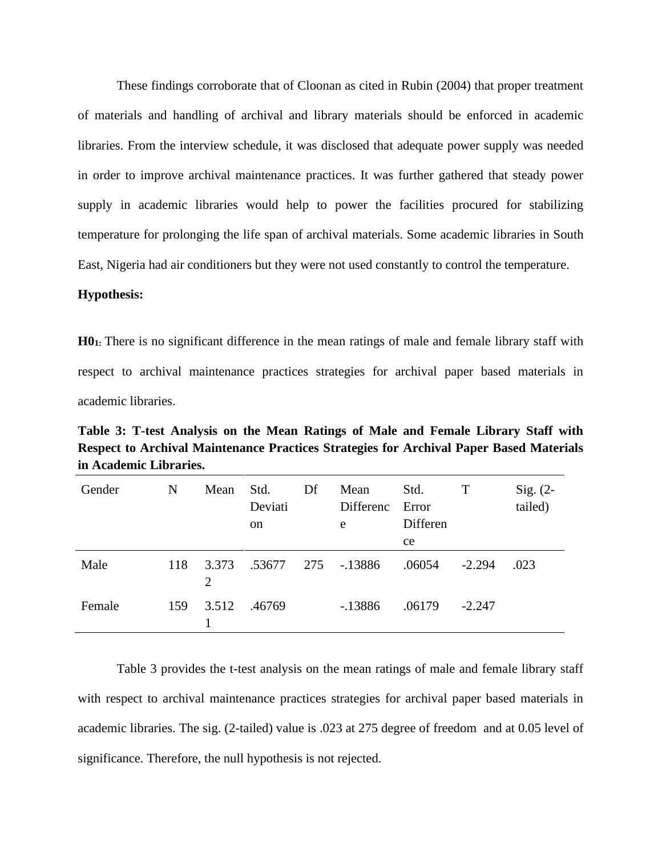These findings corroborate that of Cloonan as cited in Rubin (2004) that proper treatment of materials and handling of archival and library materials should be enforced in academic libraries. From the interview schedule, it was disclosed that adequate power supply was needed in order to improve archival maintenance practices. It was further gathered that steady power supply in academic libraries would help to power the facilities procured for stabilizing temperature for prolonging the life span of archival materials. Some academic libraries in South East, Nigeria had air conditioners but they were not used constantly to control the temperature.

#### **Hypothesis:**

**H01:** There is no significant difference in the mean ratings of male and female library staff with respect to archival maintenance practices strategies for archival paper based materials in academic libraries.

**Table 3: T-test Analysis on the Mean Ratings of Male and Female Library Staff with Respect to Archival Maintenance Practices Strategies for Archival Paper Based Materials in Academic Libraries.**

| Gender | N   | Mean       | Std.<br>Deviati<br><sub>on</sub> | Df  | Mean<br>Differenc<br>e | Std.<br>Error<br>Differen<br>ce | T        | $Sig. (2-$<br>tailed) |
|--------|-----|------------|----------------------------------|-----|------------------------|---------------------------------|----------|-----------------------|
| Male   | 118 | 3.373<br>2 | .53677                           | 275 | -.13886                | .06054                          | $-2.294$ | .023                  |
| Female | 159 | 3.512      | .46769                           |     | $-13886$               | .06179                          | $-2.247$ |                       |

Table 3 provides the t-test analysis on the mean ratings of male and female library staff with respect to archival maintenance practices strategies for archival paper based materials in academic libraries. The sig. (2-tailed) value is .023 at 275 degree of freedom and at 0.05 level of significance. Therefore, the null hypothesis is not rejected.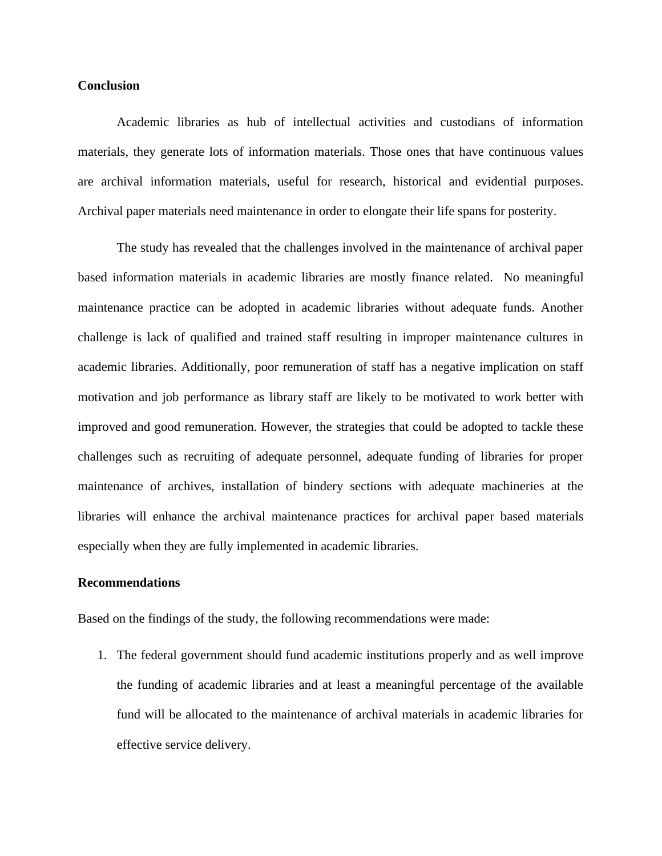#### **Conclusion**

Academic libraries as hub of intellectual activities and custodians of information materials, they generate lots of information materials. Those ones that have continuous values are archival information materials, useful for research, historical and evidential purposes. Archival paper materials need maintenance in order to elongate their life spans for posterity.

The study has revealed that the challenges involved in the maintenance of archival paper based information materials in academic libraries are mostly finance related. No meaningful maintenance practice can be adopted in academic libraries without adequate funds. Another challenge is lack of qualified and trained staff resulting in improper maintenance cultures in academic libraries. Additionally, poor remuneration of staff has a negative implication on staff motivation and job performance as library staff are likely to be motivated to work better with improved and good remuneration. However, the strategies that could be adopted to tackle these challenges such as recruiting of adequate personnel, adequate funding of libraries for proper maintenance of archives, installation of bindery sections with adequate machineries at the libraries will enhance the archival maintenance practices for archival paper based materials especially when they are fully implemented in academic libraries.

## **Recommendations**

Based on the findings of the study, the following recommendations were made:

1. The federal government should fund academic institutions properly and as well improve the funding of academic libraries and at least a meaningful percentage of the available fund will be allocated to the maintenance of archival materials in academic libraries for effective service delivery.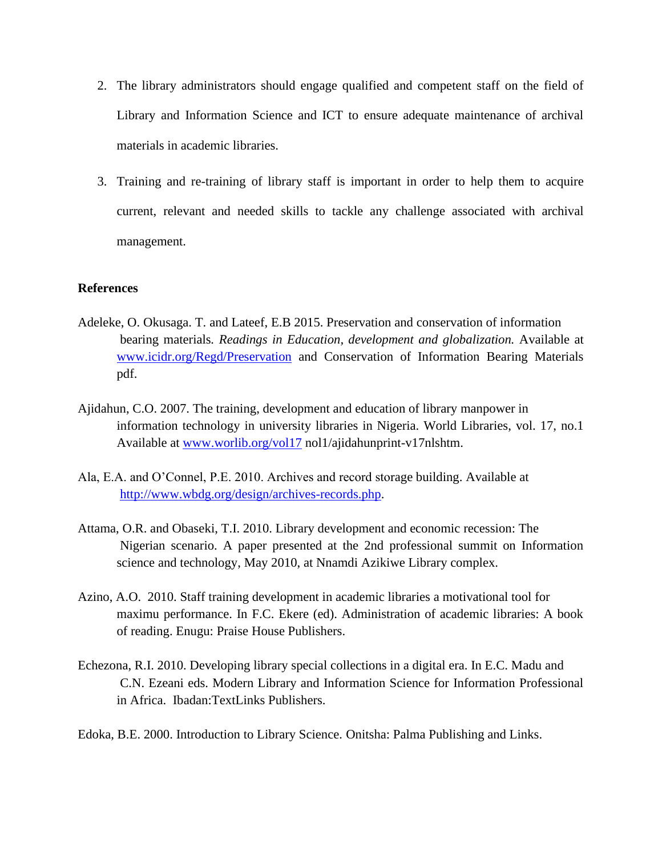- 2. The library administrators should engage qualified and competent staff on the field of Library and Information Science and ICT to ensure adequate maintenance of archival materials in academic libraries.
- 3. Training and re-training of library staff is important in order to help them to acquire current, relevant and needed skills to tackle any challenge associated with archival management.

### **References**

- Adeleke, O. Okusaga. T. and Lateef, E.B 2015. Preservation and conservation of information bearing materials*. Readings in Education, development and globalization.* Available at [www.icidr.org/Regd/Preservation](http://www.icidr.org/Regd/Preservation) and Conservation of Information Bearing Materials pdf.
- Ajidahun, C.O. 2007. The training, development and education of library manpower in information technology in university libraries in Nigeria. World Libraries, vol. 17, no.1 Available at [www.worlib.org/vol17](http://www.worlib.org/vol17) nol1/ajidahunprint-v17nlshtm.
- Ala, E.A. and O'Connel, P.E. 2010. Archives and record storage building. Available at [http://www.wbdg.org/design/archives-records.php.](http://www.wbdg.org/design/archives-records.php)
- Attama, O.R. and Obaseki, T.I. 2010. Library development and economic recession: The Nigerian scenario. A paper presented at the 2nd professional summit on Information science and technology, May 2010, at Nnamdi Azikiwe Library complex.
- Azino, A.O. 2010. Staff training development in academic libraries a motivational tool for maximu performance. In F.C. Ekere (ed). Administration of academic libraries: A book of reading. Enugu: Praise House Publishers.
- Echezona, R.I. 2010. Developing library special collections in a digital era. In E.C. Madu and C.N. Ezeani eds. Modern Library and Information Science for Information Professional in Africa. Ibadan:TextLinks Publishers.
- Edoka, B.E. 2000. Introduction to Library Science*.* Onitsha: Palma Publishing and Links.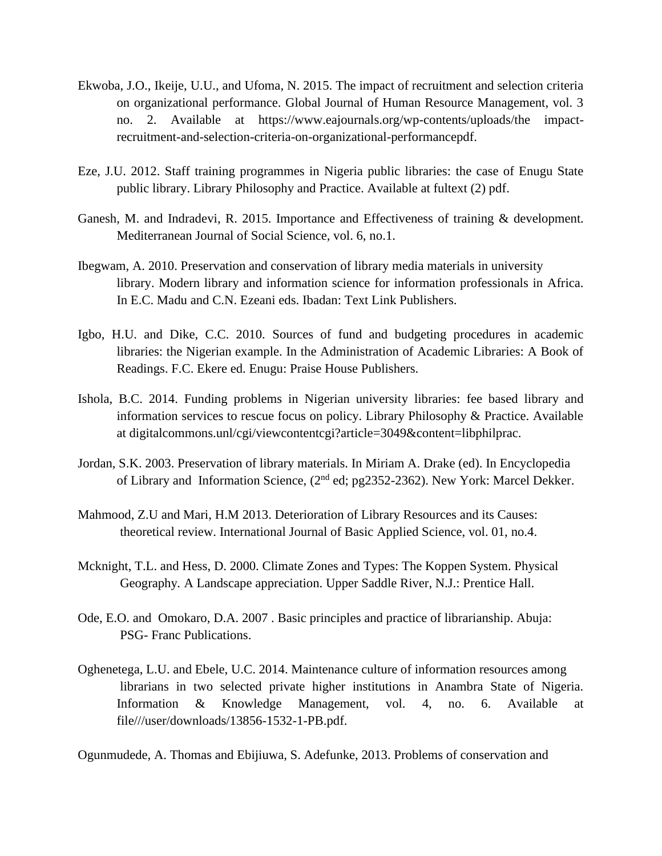- Ekwoba, J.O., Ikeije, U.U., and Ufoma, N. 2015. The impact of recruitment and selection criteria on organizational performance. Global Journal of Human Resource Management, vol. 3 no. 2. Available at https://www.eajournals.org/wp-contents/uploads/the impactrecruitment-and-selection-criteria-on-organizational-performancepdf.
- Eze, J.U. 2012. Staff training programmes in Nigeria public libraries: the case of Enugu State public library. Library Philosophy and Practice. Available at fultext (2) pdf.
- Ganesh, M. and Indradevi, R. 2015. Importance and Effectiveness of training & development. Mediterranean Journal of Social Science, vol. 6, no.1.
- Ibegwam, A. 2010. Preservation and conservation of library media materials in university library. Modern library and information science for information professionals in Africa. In E.C. Madu and C.N. Ezeani eds. Ibadan: Text Link Publishers.
- Igbo, H.U. and Dike, C.C. 2010. Sources of fund and budgeting procedures in academic libraries: the Nigerian example. In the Administration of Academic Libraries: A Book of Readings. F.C. Ekere ed. Enugu: Praise House Publishers.
- Ishola, B.C. 2014. Funding problems in Nigerian university libraries: fee based library and information services to rescue focus on policy. Library Philosophy & Practice. Available at digitalcommons.unl/cgi/viewcontentcgi?article=3049&content=libphilprac.
- Jordan, S.K. 2003. Preservation of library materials. In Miriam A. Drake (ed). In Encyclopedia of Library and Information Science, (2<sup>nd</sup> ed; pg2352-2362). New York: Marcel Dekker.
- Mahmood, Z.U and Mari, H.M 2013. Deterioration of Library Resources and its Causes: theoretical review. International Journal of Basic Applied Science, vol. 01, no.4.
- Mcknight, T.L. and Hess, D. 2000. Climate Zones and Types: The Koppen System. Physical Geography*.* A Landscape appreciation. Upper Saddle River, N.J.: Prentice Hall.
- Ode, E.O. and Omokaro, D.A. 2007 . Basic principles and practice of librarianship. Abuja: PSG- Franc Publications.
- Oghenetega, L.U. and Ebele, U.C. 2014. Maintenance culture of information resources among librarians in two selected private higher institutions in Anambra State of Nigeria. Information & Knowledge Management, vol. 4, no. 6. Available at file///user/downloads/13856-1532-1-PB.pdf.

Ogunmudede, A. Thomas and Ebijiuwa, S. Adefunke, 2013. Problems of conservation and